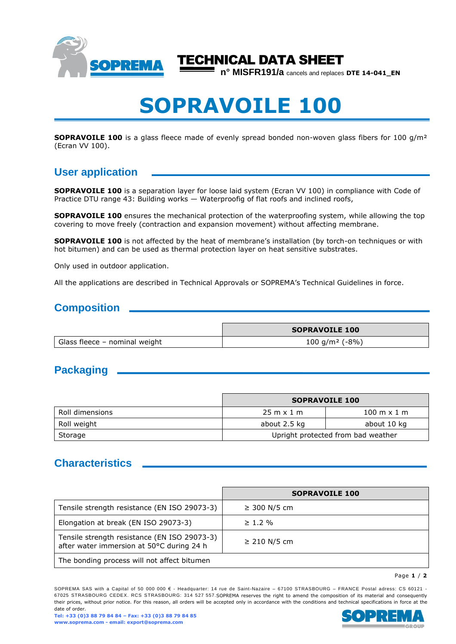

# TECHNICAL DATA SHEET

**n° MISFR191/a** cancels and replaces **DTE 14-041\_EN**

# **SOPRAVOILE 100**

**SOPRAVOILE 100** is a glass fleece made of evenly spread bonded non-woven glass fibers for 100 g/m<sup>2</sup> (Ecran VV 100).

# **User application**

**SOPRAVOILE 100** is a separation layer for loose laid system (Ecran VV 100) in compliance with Code of Practice DTU range 43: Building works — Waterproofig of flat roofs and inclined roofs,

**SOPRAVOILE 100** ensures the mechanical protection of the waterproofing system, while allowing the top covering to move freely (contraction and expansion movement) without affecting membrane.

**SOPRAVOILE 100** is not affected by the heat of membrane's installation (by torch-on techniques or with hot bitumen) and can be used as thermal protection layer on heat sensitive substrates.

Only used in outdoor application.

All the applications are described in Technical Approvals or SOPREMA's Technical Guidelines in force.

#### **Composition**

|                               | <b>SOPRAVOILE 100</b>      |
|-------------------------------|----------------------------|
| Glass fleece – nominal weight | 100 g/m <sup>2</sup> (-8%) |

# **Packaging**

|                 | <b>SOPRAVOILE 100</b>              |                                    |
|-----------------|------------------------------------|------------------------------------|
| Roll dimensions | $25 \text{ m} \times 1 \text{ m}$  | $100 \text{ m} \times 1 \text{ m}$ |
| Roll weight     | about 2.5 kg                       | about 10 kg                        |
| Storage         | Upright protected from bad weather |                                    |

# **Characteristics**

|                                                                                           | <b>SOPRAVOILE 100</b> |
|-------------------------------------------------------------------------------------------|-----------------------|
| Tensile strength resistance (EN ISO 29073-3)                                              | ≥ 300 N/5 cm          |
| Elongation at break (EN ISO 29073-3)                                                      | $\geq 1.2 \%$         |
| Tensile strength resistance (EN ISO 29073-3)<br>after water immersion at 50°C during 24 h | $≥$ 210 N/5 cm        |
| The bonding process will not affect bitumen                                               |                       |

Page **1** / **2**

SOPREMA SAS with a Capital of 50 000 000  $\epsilon$  - Headquarter: 14 rue de Saint-Nazaire – 67100 STRASBOURG – FRANCE Postal adress: CS 60121 -67025 STRASBOURG CEDEX. RCS STRASBOURG: 314 527 557.SOPREMA reserves the right to amend the composition of its material and consequently their prices, without prior notice. For this reason, all orders will be accepted only in accordance with the conditions and technical specifications in force at the date of order.